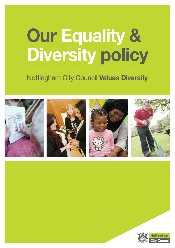# **Our Equality & Diversity policy**

## Nottingham City Council **Values Diversity**



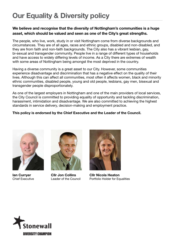### **Our Equality & Diversity policy**

#### **We believe and recognise that the diversity of Nottingham's communities is a huge asset, which should be valued and seen as one of the City's great strengths.**

The people, who live, work, study in or visit Nottingham come from diverse backgrounds and circumstances. They are of all ages, races and ethnic groups, disabled and non-disabled, and they are from faith and non-faith backgrounds. The City also has a vibrant lesbian, gay, bi-sexual and transgender community. People live in a range of different types of households and have access to widely differing levels of income. As a City there are extremes of wealth with some areas of Nottingham being amongst the most deprived in the country.

Having a diverse community is a great asset to our City. However, some communities experience disadvantage and discrimination that has a negative effect on the quality of their lives. Although this can affect all communities, most often it affects women, black and minority ethnic communities, disabled people, young and old people, lesbians, gay men, bisexual and transgender people disproportionately.

As one of the largest employers in Nottingham and one of the main providers of local services, the City Council is committed to providing equality of opportunity and tackling discrimination, harassment, intimidation and disadvantage. We are also committed to achieving the highest standards in service delivery, decision-making and employment practice.

#### **This policy is endorsed by the Chief Executive and the Leader of the Council.**



**Ian Curryer** Chief Executive



**Cllr Jon Collins** Leader of the Council



**Cllr Nicola Heaton** Portfolio Holder for Equalities

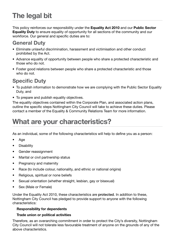# **The legal bit**

This policy reinforces our responsibility under the **Equality Act 2010** and our **Public Sector Equality Duty** to ensure equality of opportunity for all sections of the community and our workforce. Our general and specific duties are to:

### **General Duty**

- Eliminate unlawful discrimination, harassment and victimisation and other conduct prohibited by the Act.
- Advance equality of opportunity between people who share a protected characteristic and those who do not.
- Foster good relations between people who share a protected characteristic and those who do not.

### **Specific Duty**

- To publish information to demonstrate how we are complying with the Public Sector Equality Duty, and
- To prepare and publish equality objectives.

The equality objectives contained within the Corporate Plan, and associated action plans, outline the specific steps Nottingham City Council will take to achieve these duties. Please contact a member of the Equality & Community Relations Team for more information.

### **What are your characteristics?**

As an individual, some of the following characteristics will help to define you as a person:

- • Age
- • Disability
- • Gender reassignment
- Marital or civil partnership status
- Pregnancy and maternity
- Race (to include colour, nationality, and ethnic or national origins)
- • Religious, spiritual or none beliefs
- Sexual orientation (whether straight, lesbian, gay or bisexual)
- Sex (Male or Female)

Under the Equality Act 2010, these characteristics are protected. In addition to these, Nottingham City Council has pledged to provide support to anyone with the following characteristics:

#### **Responsibility for dependents**

#### **Trade union or political activities**

Therefore, as an overarching commitment in order to protect the City's diversity, Nottingham City Council will not tolerate less favourable treatment of anyone on the grounds of any of the above characteristics.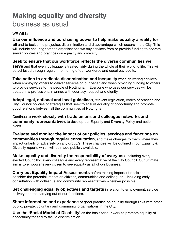### **Making equality and diversity** business as usual

#### WE WILL:

### **Use our influence and purchasing power to help make equality a reality for**

**all** and to tackle the prejudice, discrimination and disadvantage which occurs in the City. This will include ensuring that the organisations we buy services from or provide funding to operate similar policies and practices on equality and diversity.

#### **Seek to ensure that our workforce reflects the diverse communities we**

**serve** and that every colleague is treated fairly during the whole of their working life. This will be achieved through regular monitoring of our workforce and equal pay audits.

**Take action to eradicate discrimination and inequality** when delivering services, when employing others to deliver services on our behalf and when providing funding to others to provide services to the people of Nottingham. Everyone who uses our services will be treated in a professional manner, with courtesy, respect and dignity.

**Adopt legal, national and local guidelines**, relevant legislation, codes of practice and City Council policies or strategies that seek to ensure equality of opportunity and promote good relations between all the communities of Nottingham.

Continue to **work closely with trade unions and colleague networks and community representatives** to develop our Equality and Diversity Policy and action plans.

**Evaluate and monitor the impact of our policies, services and functions on communities through regular consultation**, and make changes to them where they impact unfairly or adversely on any group/s. These changes will be outlined in our Equality & Diversity reports which will be made publicly available.

**Make equality and diversity the responsibility of everyone**, including every elected Councillor, every colleague and every representative of the City Council. Our ultimate aim is to empower every citizen to see equality as all of our business.

**Carry out Equality Impact Assessments** before making important decisions to consider the potential impact on citizens, communities and colleagues – including early consultation with colleague and community representatives wherever possible.

**Set challenging equality objectives and targets** in relation to employment, service delivery and the carrying out of our functions.

**Share information and experience** of good practice on equality through links with other public, private, voluntary and community organisations in the City.

**Use the 'Social Model of Disability'** as the basis for our work to promote equality of opportunity for and to tackle discrimination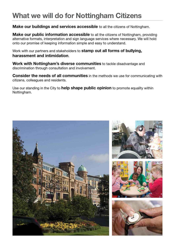## **What we will do for Nottingham Citizens**

### **Make our buildings and services accessible** to all the citizens of Nottingham.

**Make our public information accessible** to all the citizens of Nottingham, providing alternative formats, interpretation and sign language services where necessary. We will hold onto our promise of keeping information simple and easy to understand.

Work with our partners and stakeholders to **stamp out all forms of bullying, harassment and intimidation**.

**Work with Nottingham's diverse communities** to tackle disadvantage and discrimination through consultation and involvement.

**Consider the needs of all communities** in the methods we use for communicating with citizens, colleagues and residents.

Use our standing in the City to **help shape public opinion** to promote equality within Nottingham.